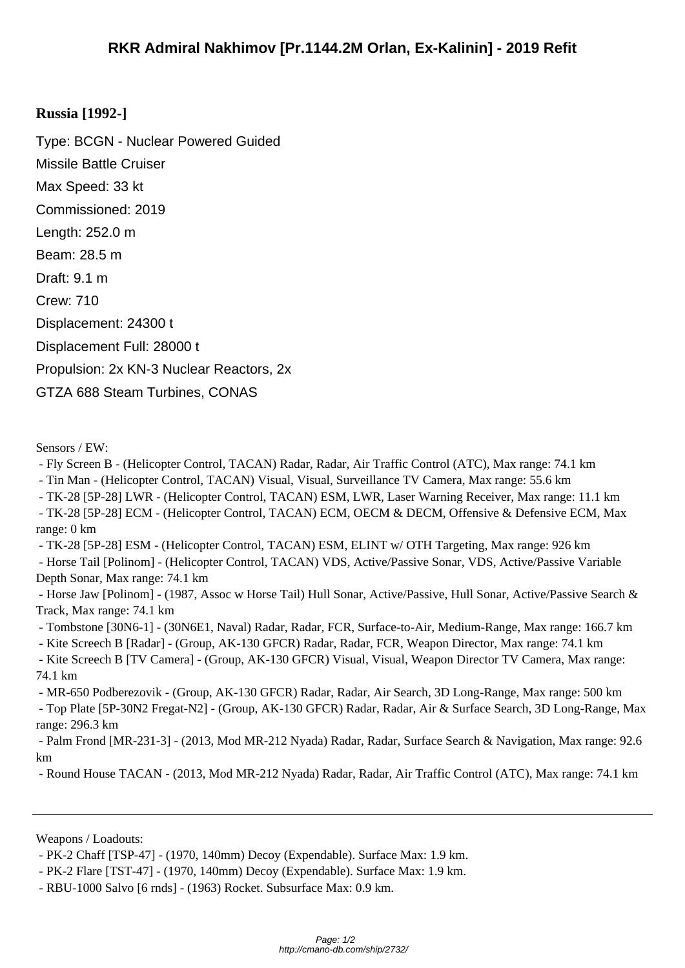## **Russia [19[92-\]](http://cmano-db.com/ship/2732/)**

Type: BCGN - Nuclear Powered Guided Missile Battle Cruiser Max Speed: 33 kt Commissioned: 2019 Length: 252.0 m Beam: 28.5 m Draft: 9.1 m Crew: 710 Displacement: 24300 t Displacement Full: 28000 t Propulsion: 2x KN-3 Nuclear Reactors, 2x GTZA 688 Steam Turbines, CONAS

Sensors / EW:

- Fly Screen B - (Helicopter Control, TACAN) Radar, Radar, Air Traffic Control (ATC), Max range: 74.1 km

- Tin Man - (Helicopter Control, TACAN) Visual, Visual, Surveillance TV Camera, Max range: 55.6 km

- TK-28 [5P-28] LWR - (Helicopter Control, TACAN) ESM, LWR, Laser Warning Receiver, Max range: 11.1 km

 - TK-28 [5P-28] ECM - (Helicopter Control, TACAN) ECM, OECM & DECM, Offensive & Defensive ECM, Max range: 0 km

 - TK-28 [5P-28] ESM - (Helicopter Control, TACAN) ESM, ELINT w/ OTH Targeting, Max range: 926 km - Horse Tail [Polinom] - (Helicopter Control, TACAN) VDS, Active/Passive Sonar, VDS, Active/Passive Variable Depth Sonar, Max range: 74.1 km

 - Horse Jaw [Polinom] - (1987, Assoc w Horse Tail) Hull Sonar, Active/Passive, Hull Sonar, Active/Passive Search & Track, Max range: 74.1 km

 - Tombstone [30N6-1] - (30N6E1, Naval) Radar, Radar, FCR, Surface-to-Air, Medium-Range, Max range: 166.7 km - Kite Screech B [Radar] - (Group, AK-130 GFCR) Radar, Radar, FCR, Weapon Director, Max range: 74.1 km

 - Kite Screech B [TV Camera] - (Group, AK-130 GFCR) Visual, Visual, Weapon Director TV Camera, Max range: 74.1 km

 - MR-650 Podberezovik - (Group, AK-130 GFCR) Radar, Radar, Air Search, 3D Long-Range, Max range: 500 km - Top Plate [5P-30N2 Fregat-N2] - (Group, AK-130 GFCR) Radar, Radar, Air & Surface Search, 3D Long-Range, Max range: 296.3 km

 - Palm Frond [MR-231-3] - (2013, Mod MR-212 Nyada) Radar, Radar, Surface Search & Navigation, Max range: 92.6 km

- Round House TACAN - (2013, Mod MR-212 Nyada) Radar, Radar, Air Traffic Control (ATC), Max range: 74.1 km

Weapons / Loadouts:

 <sup>-</sup> PK-2 Chaff [TSP-47] - (1970, 140mm) Decoy (Expendable). Surface Max: 1.9 km.

 <sup>-</sup> PK-2 Flare [TST-47] - (1970, 140mm) Decoy (Expendable). Surface Max: 1.9 km.

 <sup>-</sup> RBU-1000 Salvo [6 rnds] - (1963) Rocket. Subsurface Max: 0.9 km.